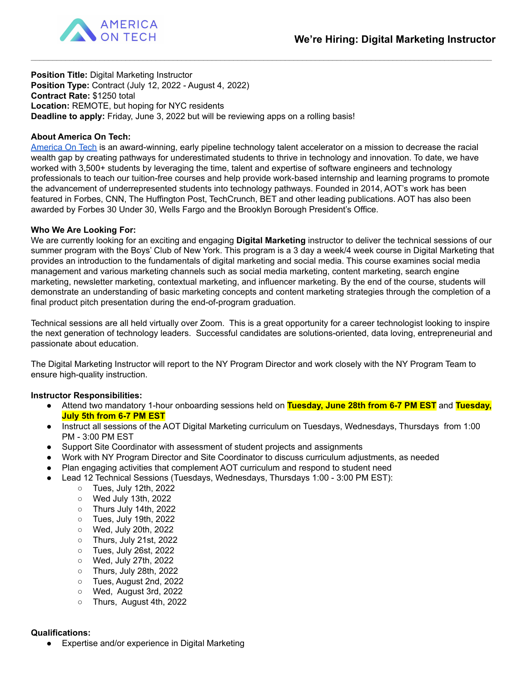

**Position Title:** Digital Marketing Instructor **Position Type:** Contract (July 12, 2022 - August 4, 2022) **Contract Rate:** \$1250 total **Location:** REMOTE, but hoping for NYC residents **Deadline to apply:** Friday, June 3, 2022 but will be reviewing apps on a rolling basis!

# **About America On Tech:**

[America](https://www.americaontech.org/) On Tech is an award-winning, early pipeline technology talent accelerator on a mission to decrease the racial wealth gap by creating pathways for underestimated students to thrive in technology and innovation. To date, we have worked with 3,500+ students by leveraging the time, talent and expertise of software engineers and technology professionals to teach our tuition-free courses and help provide work-based internship and learning programs to promote the advancement of underrepresented students into technology pathways. Founded in 2014, AOT's work has been featured in Forbes, CNN, The Huffington Post, TechCrunch, BET and other leading publications. AOT has also been awarded by Forbes 30 Under 30, Wells Fargo and the Brooklyn Borough President's Office.

\_\_\_\_\_\_\_\_\_\_\_\_\_\_\_\_\_\_\_\_\_\_\_\_\_\_\_\_\_\_\_\_\_\_\_\_\_\_\_\_\_\_\_\_\_\_\_\_\_\_\_\_\_\_\_\_\_\_\_\_\_\_\_\_\_\_\_\_\_\_\_\_\_\_\_\_\_\_\_\_\_\_\_\_\_\_\_\_\_\_\_\_\_\_\_\_\_\_\_\_\_\_\_\_\_\_\_

#### **Who We Are Looking For:**

We are currently looking for an exciting and engaging **Digital Marketing** instructor to deliver the technical sessions of our summer program with the Boys' Club of New York. This program is a 3 day a week/4 week course in Digital Marketing that provides an introduction to the fundamentals of digital marketing and social media. This course examines social media management and various marketing channels such as social media marketing, content marketing, search engine marketing, newsletter marketing, contextual marketing, and influencer marketing. By the end of the course, students will demonstrate an understanding of basic marketing concepts and content marketing strategies through the completion of a final product pitch presentation during the end-of-program graduation.

Technical sessions are all held virtually over Zoom. This is a great opportunity for a career technologist looking to inspire the next generation of technology leaders. Successful candidates are solutions-oriented, data loving, entrepreneurial and passionate about education.

The Digital Marketing Instructor will report to the NY Program Director and work closely with the NY Program Team to ensure high-quality instruction.

#### **Instructor Responsibilities:**

- Attend two mandatory 1-hour onboarding sessions held on **Tuesday, June 28th from 6-7 PM EST** and **Tuesday, July 5th from 6-7 PM EST**
- Instruct all sessions of the AOT Digital Marketing curriculum on Tuesdays, Wednesdays, Thursdays from 1:00 PM - 3:00 PM EST
- Support Site Coordinator with assessment of student projects and assignments
- Work with NY Program Director and Site Coordinator to discuss curriculum adjustments, as needed
- Plan engaging activities that complement AOT curriculum and respond to student need
- Lead 12 Technical Sessions (Tuesdays, Wednesdays, Thursdays 1:00 3:00 PM EST):
	- Tues, July 12th, 2022
	- Wed July 13th, 2022
	- Thurs July 14th, 2022
	- Tues, July 19th, 2022
	- Wed, July 20th, 2022
	- Thurs, July 21st, 2022
	- Tues, July 26st, 2022
	- Wed, July 27th, 2022
	- Thurs, July 28th, 2022
	- Tues, August 2nd, 2022
	- Wed, August 3rd, 2022
	- Thurs, August 4th, 2022

#### **Qualifications:**

● Expertise and/or experience in Digital Marketing